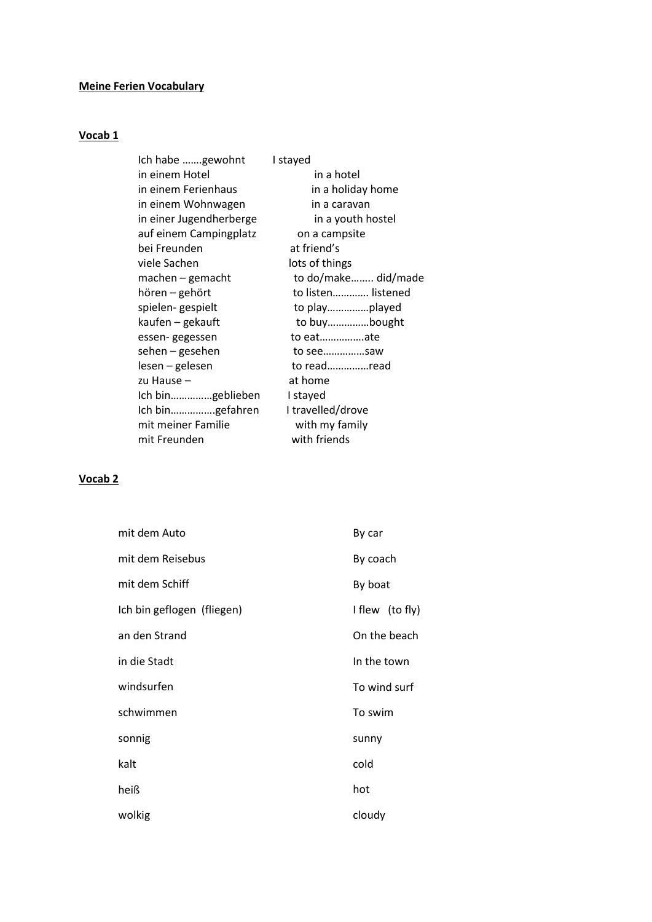## **Meine Ferien Vocabulary**

### **Vocab 1**

| Ich habe gewohnt        | I stayed            |
|-------------------------|---------------------|
| in einem Hotel          | in a hotel          |
| in einem Ferienhaus     | in a holiday home   |
| in einem Wohnwagen      | in a caravan        |
| in einer Jugendherberge | in a youth hostel   |
| auf einem Campingplatz  | on a campsite       |
| bei Freunden            | at friend's         |
| viele Sachen            | lots of things      |
| $machine - gemacht$     | to do/make did/made |
| hören – gehört          | to listen listened  |
| spielen-gespielt        |                     |
| kaufen – gekauft        | to buybought        |
| essen-gegessen          | to eatate           |
| sehen – gesehen         | to seesaw           |
| lesen - gelesen         | to readread         |
| zu Hause -              | at home             |
| Ich bingeblieben        | I stayed            |
| Ich bingefahren         | I travelled/drove   |
| mit meiner Familie      | with my family      |
| mit Freunden            | with friends        |

# **Vocab 2**

| mit dem Auto               | By car          |
|----------------------------|-----------------|
| mit dem Reisebus           | By coach        |
| mit dem Schiff             | By boat         |
| Ich bin geflogen (fliegen) | I flew (to fly) |
| an den Strand              | On the beach    |
| in die Stadt               | In the town     |
| windsurfen                 | To wind surf    |
| schwimmen                  | To swim         |
| sonnig                     | sunny           |
| kalt                       | cold            |
| heiß                       | hot             |
| wolkig                     | cloudy          |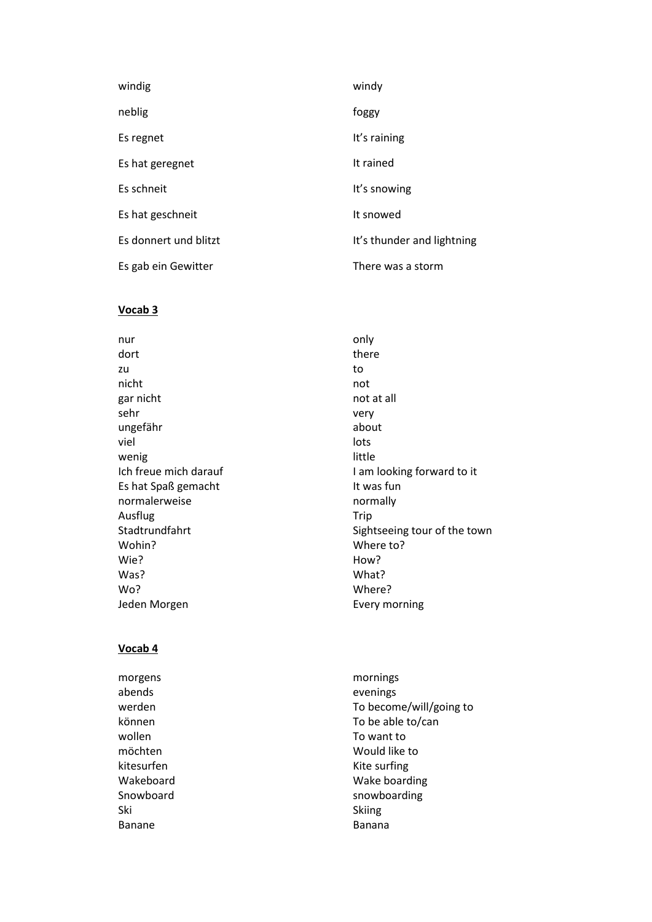| windig                | windy                      |
|-----------------------|----------------------------|
| neblig                | foggy                      |
| Es regnet             | It's raining               |
| Es hat geregnet       | It rained                  |
| Es schneit            | It's snowing               |
| Es hat geschneit      | It snowed                  |
| Es donnert und blitzt | It's thunder and lightning |
| Es gab ein Gewitter   | There was a storm          |

#### **Vocab 3**

nur and a state only only the contract only dort there are the contracted by the contracted by the contracted by the contracted by the contracted by the c zu zu zo za zamanje za stanovnika kontrola za stanovnika kontrola za stanovnika ko nicht not gar nicht not at all sehr very ungefähr about about viel and the contract of the contract of the contract of the contract of the contract of the contract of the c wenig and the contract of the little Es hat Spaß gemacht **It was fun** normalerweise and a mormally Ausflug Trip Wohin? Where to? Wie? Now? Was? What? Wo? Where? Jeden Morgen **Every morning** 

Ich freue mich darauf I am looking forward to it Stadtrundfahrt Stadtrundfahrt Sightseeing tour of the town

### **Vocab 4**

abends evenings wollen and the matrix of the Towant to want to kitesurfen Kite surfing Ski Skiing (Solomon Skiing Skiing Skiing Skiing Skiing Skiing Skiing Skiing Skiing Skiing Skiing Skiing Skiing Banane Banana

morgens mornings werden To become/will/going to können To be able to/can möchten Would like to Wakeboard Wake boarding Snowboard snowboarding